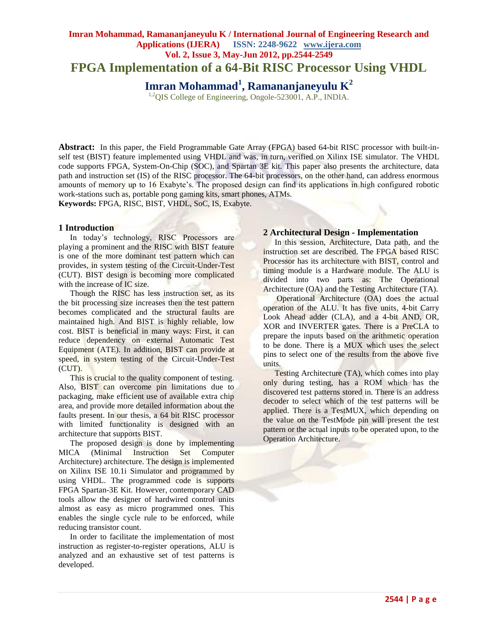# **Imran Mohammad, Ramananjaneyulu K / International Journal of Engineering Research and Applications (IJERA) ISSN: 2248-9622 www.ijera.com Vol. 2, Issue 3, May-Jun 2012, pp.2544-2549 FPGA Implementation of a 64-Bit RISC Processor Using VHDL Imran Mohammad<sup>1</sup> , Ramananjaneyulu K<sup>2</sup>**

<sup>1,2</sup>QIS College of Engineering, Ongole-523001, A.P., INDIA.

**Abstract:** In this paper, the Field Programmable Gate Array (FPGA) based 64-bit RISC processor with built-inself test (BIST) feature implemented using VHDL and was, in turn, verified on Xilinx ISE simulator. The VHDL code supports FPGA, System-On-Chip (SOC), and Spartan 3E kit. This paper also presents the architecture, data path and instruction set (IS) of the RISC processor. The 64-bit processors, on the other hand, can address enormous amounts of memory up to 16 Exabyte"s. The proposed design can find its applications in high configured robotic work-stations such as, portable pong gaming kits, smart phones, ATMs.

**Keywords:** FPGA, RISC, BIST, VHDL, SoC, IS, Exabyte.

#### **1 Introduction**

In today"s technology, RISC Processors are playing a prominent and the RISC with BIST feature is one of the more dominant test pattern which can provides, in system testing of the Circuit-Under-Test (CUT). BIST design is becoming more complicated with the increase of IC size.

Though the RISC has less instruction set, as its the bit processing size increases then the test pattern becomes complicated and the structural faults are maintained high. And BIST is highly reliable, low cost. BIST is beneficial in many ways: First, it can reduce dependency on external Automatic Test Equipment (ATE). In addition, BIST can provide at speed, in system testing of the Circuit-Under-Test (CUT).

This is crucial to the quality component of testing. Also, BIST can overcome pin limitations due to packaging, make efficient use of available extra chip area, and provide more detailed information about the faults present. In our thesis, a 64 bit RISC processor with limited functionality is designed with an architecture that supports BIST.

The proposed design is done by implementing MICA (Minimal Instruction Set Computer Architecture) architecture. The design is implemented on Xilinx ISE 10.1i Simulator and programmed by using VHDL. The programmed code is supports FPGA Spartan-3E Kit. However, contemporary CAD tools allow the designer of hardwired control units almost as easy as micro programmed ones. This enables the single cycle rule to be enforced, while reducing transistor count.

In order to facilitate the implementation of most instruction as register-to-register operations, ALU is analyzed and an exhaustive set of test patterns is developed.

### **2 Architectural Design - Implementation**

In this session, Architecture, Data path, and the instruction set are described. The FPGA based RISC Processor has its architecture with BIST, control and timing module is a Hardware module. The ALU is divided into two parts as: The Operational Architecture (OA) and the Testing Architecture (TA).

Operational Architecture (OA) does the actual operation of the ALU. It has five units, 4-bit Carry Look Ahead adder (CLA), and a 4-bit AND, OR, XOR and INVERTER gates. There is a PreCLA to prepare the inputs based on the arithmetic operation to be done. There is a MUX which uses the select pins to select one of the results from the above five units.

Testing Architecture (TA), which comes into play only during testing, has a ROM which has the discovered test patterns stored in. There is an address decoder to select which of the test patterns will be applied. There is a TestMUX, which depending on the value on the TestMode pin will present the test pattern or the actual inputs to be operated upon, to the Operation Architecture.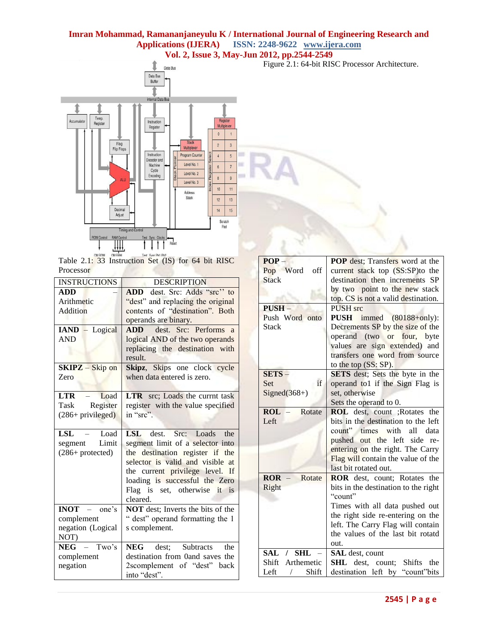

Table  $2.1: 33$  Instruction Set (IS) for 64 bit RISC Processor

| <b>INSTRUCTIONS</b>                                                         | <b>DESCRIPTION</b>                                                                                                                                                                                 |  |  |  |  |
|-----------------------------------------------------------------------------|----------------------------------------------------------------------------------------------------------------------------------------------------------------------------------------------------|--|--|--|--|
| <b>ADD</b><br>Arithmetic<br>Addition<br><b>IAND</b> – Logical<br><b>AND</b> | ADD dest. Src: Adds "src" to<br>"dest" and replacing the original<br>contents of "destination". Both<br>operands are binary.<br>dest. Src: Performs<br>ADD<br>a<br>logical AND of the two operands |  |  |  |  |
| <b>SKIPZ</b> - Skip on<br>Zero                                              | replacing the destination with<br>result.<br>Skipz, Skips one clock cycle<br>when data entered is zero.                                                                                            |  |  |  |  |
| $\mathbf{LTR}$ – Load<br>Task Register<br>$(286+$ privileged)               | LTR src; Loads the currnt task<br>register with the value specified<br>in "src".                                                                                                                   |  |  |  |  |
| $LSL - Load$<br>Limit<br>segment<br>$(286+protected)$                       | LSL dest. Src: Loads the<br>segment limit of a selector into<br>the destination register if the                                                                                                    |  |  |  |  |
|                                                                             | selector is valid and visible<br><b>at</b><br>the current privilege level. If<br>loading is successful the Zero<br>Flag is set, otherwise it is<br>cleared.                                        |  |  |  |  |
| $INOT - one's$<br>complement<br>negation (Logical<br>NOT)<br>$NEG - Two's$  | NOT dest; Inverts the bits of the<br>" dest" operand formatting the 1<br>s complement.                                                                                                             |  |  |  |  |

| $POP -$                     | <b>POP</b> dest; Transfers word at the |  |  |  |  |  |
|-----------------------------|----------------------------------------|--|--|--|--|--|
| Pop Word<br>off             | current stack top (SS:SP)to the        |  |  |  |  |  |
| <b>Stack</b>                | destination then increments SP         |  |  |  |  |  |
|                             | by two point to the new stack          |  |  |  |  |  |
|                             | top. CS is not a valid destination.    |  |  |  |  |  |
| PUSH-                       | PUSH <sub>src</sub>                    |  |  |  |  |  |
| Push Word onto              | <b>PUSH</b> immed (80188+only):        |  |  |  |  |  |
| <b>Stack</b>                | Decrements SP by the size of the       |  |  |  |  |  |
|                             | operand (two or four, byte             |  |  |  |  |  |
|                             | values are sign extended) and          |  |  |  |  |  |
|                             | transfers one word from source         |  |  |  |  |  |
|                             | to the top (SS: SP).                   |  |  |  |  |  |
| $SETS -$                    | SETS dest; Sets the byte in the        |  |  |  |  |  |
| Set<br>if                   | operand to1 if the Sign Flag is        |  |  |  |  |  |
| Signed $(368+)$             | set, otherwise                         |  |  |  |  |  |
|                             | Sets the operand to 0.                 |  |  |  |  |  |
| <b>ROL</b><br>Rotate        | ROL dest, count ; Rotates the          |  |  |  |  |  |
| Left                        | bits in the destination to the left    |  |  |  |  |  |
|                             | count"<br>times with<br>all data       |  |  |  |  |  |
|                             | pushed out the left side re-           |  |  |  |  |  |
|                             | entering on the right. The Carry       |  |  |  |  |  |
|                             | Flag will contain the value of the     |  |  |  |  |  |
|                             | last bit rotated out.                  |  |  |  |  |  |
| $\bf ROR -$<br>Rotate       | ROR dest, count; Rotates the           |  |  |  |  |  |
| Right                       | bits in the destination to the right   |  |  |  |  |  |
|                             | "count"                                |  |  |  |  |  |
|                             | Times with all data pushed out         |  |  |  |  |  |
|                             | the right side re-entering on the      |  |  |  |  |  |
|                             | left. The Carry Flag will contain      |  |  |  |  |  |
|                             | the values of the last bit rotatd      |  |  |  |  |  |
|                             | out.                                   |  |  |  |  |  |
| SAL $/$ SHL $-$             | SAL dest, count                        |  |  |  |  |  |
| Shift Arthemetic            | SHL dest, count; Shifts the            |  |  |  |  |  |
| Left<br>Shift<br>$\sqrt{2}$ | destination left by "count"bits        |  |  |  |  |  |

Figure 2.1: 64-bit RISC Processor Architecture.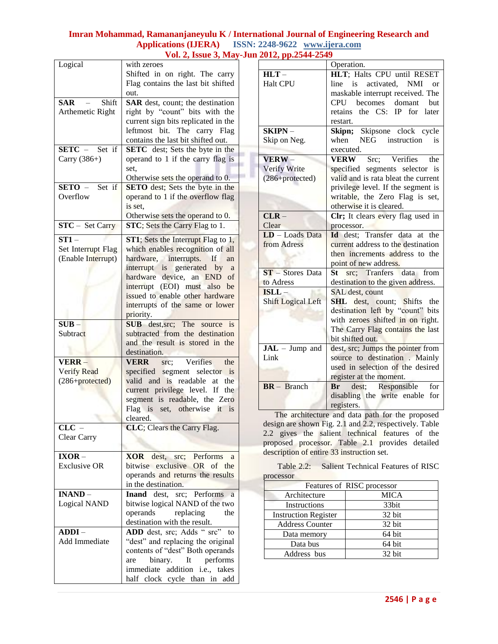| Logical                                             | with zeroes<br>Shifted in on right. The carry<br>Flag contains the last bit shifted                                                                                                                                                                                                         |  |
|-----------------------------------------------------|---------------------------------------------------------------------------------------------------------------------------------------------------------------------------------------------------------------------------------------------------------------------------------------------|--|
| Shift<br><b>SAR</b><br>Arthemetic Right             | out.<br>SAR dest, count; the destination<br>right by "count" bits with the<br>current sign bits replicated in the<br>leftmost bit. The carry Flag                                                                                                                                           |  |
| $SETC - Set if$<br>Carry (386+)                     | contains the last bit shifted out.<br><b>SETC</b> dest; Sets the byte in the<br>operand to 1 if the carry flag is<br>set.                                                                                                                                                                   |  |
| $SETO - Set if$<br>Overflow                         | Otherwise sets the operand to 0.<br><b>SETO</b> dest; Sets the byte in the<br>operand to 1 if the overflow flag<br>is set,<br>Otherwise sets the operand to 0.                                                                                                                              |  |
| <b>STC</b> – Set Carry                              | STC; Sets the Carry Flag to 1.                                                                                                                                                                                                                                                              |  |
| $ST1 -$<br>Set Interrupt Flag<br>(Enable Interrupt) | ST1; Sets the Interrupt Flag to 1,<br>which enables recognition of all<br>hardware, interrupts.<br><b>If</b><br>an<br>interrupt is generated by<br>a<br>hardware device, an END<br>of<br>interrupt (EOI) must also be<br>issued to enable other hardware<br>interrupts of the same or lower |  |
| $SUB -$<br>Subtract                                 | priority.<br>dest, src; The source<br>SUB-<br>$\overline{1}$<br>subtracted from the destination<br>and the result is stored in the                                                                                                                                                          |  |
| VERR-<br><b>Verify Read</b><br>$(286+protected)$    | destination.<br>Verifies<br><b>VERR</b><br>src:<br>the<br>specified segment selector<br>is<br>valid and is<br>readable at<br>the<br>current privilege level. If the<br>segment is readable, the Zero<br>set, otherwise<br>Flag is<br>it is<br>cleared.                                      |  |
| $CLC$ –<br>Clear Carry                              | CLC; Clears the Carry Flag.                                                                                                                                                                                                                                                                 |  |
| $IXOR -$<br><b>Exclusive OR</b>                     | dest, src; Performs<br><b>XOR</b><br>a<br>bitwise exclusive OR of the<br>operands and returns the results<br>in the destination.                                                                                                                                                            |  |
| INAND-<br><b>Logical NAND</b>                       | src; Performs<br>Inand dest,<br>a<br>bitwise logical NAND of the two<br>operands<br>replacing<br>the<br>destination with the result.                                                                                                                                                        |  |
| $ADDI-$<br>Add Immediate                            | ADD dest, src; Adds " src"<br>to<br>"dest" and replacing the original<br>contents of "dest" Both operands<br>It performs<br>binary.<br>are<br>addition <i>i.e.</i> , takes<br>immediate<br>half clock cycle than in add                                                                     |  |

|                           | Operation.                                                             |  |  |  |  |  |  |
|---------------------------|------------------------------------------------------------------------|--|--|--|--|--|--|
| $HLT -$                   | HLT; Halts CPU until RESET                                             |  |  |  |  |  |  |
| <b>Halt CPU</b>           | line is activated, NMI<br>$\alpha$                                     |  |  |  |  |  |  |
|                           | maskable interrupt received. The                                       |  |  |  |  |  |  |
|                           | becomes domant but<br><b>CPU</b>                                       |  |  |  |  |  |  |
|                           | retains the CS: IP for later                                           |  |  |  |  |  |  |
|                           | restart.                                                               |  |  |  |  |  |  |
| <b>SKIPN-</b>             | Skipn; Skipsone clock cycle                                            |  |  |  |  |  |  |
| Skip on Neg.              | when NEG instruction<br>is                                             |  |  |  |  |  |  |
|                           | executed.                                                              |  |  |  |  |  |  |
| VERW-                     | Src; Verifies the<br>VERW                                              |  |  |  |  |  |  |
| Verify Write              | specified segments selector is                                         |  |  |  |  |  |  |
| (286+protected)           | valid and is rata bleat the current                                    |  |  |  |  |  |  |
|                           | privilege level. If the segment is                                     |  |  |  |  |  |  |
|                           | writable, the Zero Flag is set,                                        |  |  |  |  |  |  |
|                           | otherwise it is cleared.                                               |  |  |  |  |  |  |
| $CLR -$                   | Clr; It clears every flag used in                                      |  |  |  |  |  |  |
| Clear                     | processor.                                                             |  |  |  |  |  |  |
| $LD -$ Loads Data         | Id dest; Transfer data<br>at the                                       |  |  |  |  |  |  |
| from Adress               | current address to the destination                                     |  |  |  |  |  |  |
|                           | then increments address to the                                         |  |  |  |  |  |  |
|                           | point of new address.                                                  |  |  |  |  |  |  |
| $ST - Stores Data$        | src; Tranfers data from<br>St                                          |  |  |  |  |  |  |
| to Adress                 | destination to the given address.                                      |  |  |  |  |  |  |
| $ISLL -$                  | SAL dest, count                                                        |  |  |  |  |  |  |
| <b>Shift Logical Left</b> | <b>SHL</b> dest, count; Shifts the<br>destination left by "count" bits |  |  |  |  |  |  |
|                           | with zeroes shifted in on right.                                       |  |  |  |  |  |  |
|                           | The Carry Flag contains the last                                       |  |  |  |  |  |  |
|                           | bit shifted out.                                                       |  |  |  |  |  |  |
| $JAL - Jump$ and          | dest, src; Jumps the pointer from                                      |  |  |  |  |  |  |
| Link                      | source to destination. Mainly                                          |  |  |  |  |  |  |
|                           | used in selection of the desired                                       |  |  |  |  |  |  |
|                           | register at the moment.                                                |  |  |  |  |  |  |
| $BR - Branch$             | dest; Responsible for<br>Br                                            |  |  |  |  |  |  |
|                           | disabling the write enable for                                         |  |  |  |  |  |  |
|                           | registers.                                                             |  |  |  |  |  |  |

The architecture and data path for the proposed design are shown Fig. 2.1 and 2.2, respectively. Table 2.2 gives the salient technical features of the proposed processor. Table 2.1 provides detailed description of entire 33 instruction set.

|           | Table 2.2: Salient Technical Features of RISC |  |
|-----------|-----------------------------------------------|--|
| processor |                                               |  |

| Features of RISC processor  |             |  |  |  |  |
|-----------------------------|-------------|--|--|--|--|
| Architecture                | <b>MICA</b> |  |  |  |  |
| Instructions                | 33bit       |  |  |  |  |
| <b>Instruction Register</b> | 32 bit      |  |  |  |  |
| <b>Address Counter</b>      | 32 bit      |  |  |  |  |
| Data memory                 | 64 bit      |  |  |  |  |
| Data bus                    | 64 bit      |  |  |  |  |
| Address bus                 | 32 bit      |  |  |  |  |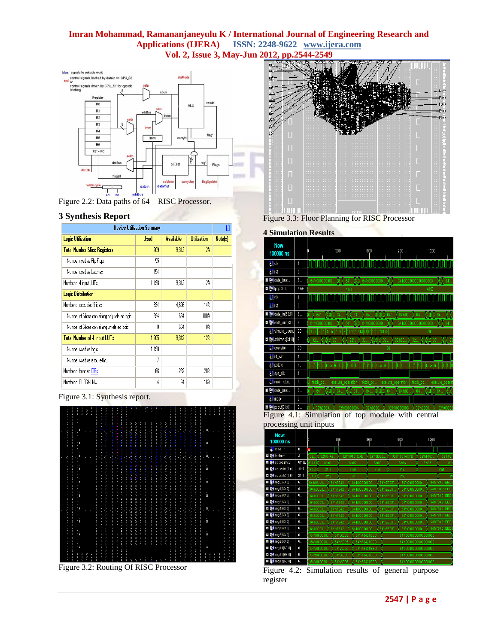

Figure 2.2: Data paths of 64 – RISC Processor.

# **3 Synthesis Report**

| <b>Device Utilization Summary</b>                                                 |       |       |      |  |  |  |  |  |
|-----------------------------------------------------------------------------------|-------|-------|------|--|--|--|--|--|
| <b>Used</b><br><b>Available</b><br><b>Utilization</b><br><b>Logic Utilization</b> |       |       |      |  |  |  |  |  |
| <b>Total Number Slice Registers</b>                                               | 209   | 9,312 | 2%   |  |  |  |  |  |
| Number used as Flip Flops                                                         | 55    |       |      |  |  |  |  |  |
| Number used as Latches                                                            | 154   |       |      |  |  |  |  |  |
| Number of 4 input LUTs                                                            | 1,198 | 9,312 | 12%  |  |  |  |  |  |
| <b>Logic Distribution</b>                                                         |       |       |      |  |  |  |  |  |
| Number of occupied Slices                                                         | 694   | 4,656 | 14%  |  |  |  |  |  |
| Number of Slices containing only related logic                                    | 694   | 694   | 100% |  |  |  |  |  |
| Number of Slices containing unrelated logic                                       | Û     | 694   | 0%   |  |  |  |  |  |
| <b>Total Number of 4 input LUTs</b>                                               | 1,205 | 9,312 | 12%  |  |  |  |  |  |
| Number used as logic                                                              | 1,198 |       |      |  |  |  |  |  |
| Number used as a route-thru                                                       | 7     |       |      |  |  |  |  |  |
| Number of bonded IOBs                                                             | 66    | 232   | 28%  |  |  |  |  |  |
| Number of BUFGMUXs                                                                | 4     | 24    | 16%  |  |  |  |  |  |

#### Figure 3.1: Synthesis report.



Figure 3.2: Routing Of RISC Processor



Figure 3.3: Floor Planning for RISC Processor

#### **4 Simulation Results**

| Now:<br>100000 ns                       |           | b<br>300<br>600<br>900<br>1200                                                               |
|-----------------------------------------|-----------|----------------------------------------------------------------------------------------------|
| $\frac{1}{2}$ clk                       | 1         |                                                                                              |
| $\frac{1}{2}$ rst                       | 0         |                                                                                              |
| <b>O a</b> ta_bus                       | 6         | 64'h00000000.<br>64'<br>64'h000000000<br>64'<br>6410000000000000000<br>6.                    |
| <b>□ 5</b> (fpga[3:0]                   | 4hE       | 4hE<br>4 <sup>h0</sup>                                                                       |
| <b>Un</b> cik                           | 1         |                                                                                              |
| $\prod$ rst                             | 0         |                                                                                              |
| <b>E M</b> data_in[63:0]                | $6\ldots$ | 64<br>64<br>64<br>64<br>64'<br>64'h00<br>64<br>64'<br>6                                      |
| <b>国 泰(data_out(63:0)</b>               | $6\ldots$ | 6410000000000000000<br>64'h000000000<br>64'h00000000<br>64<br>64<br>ÆД                       |
| of simple_count                         | 20        | 20                                                                                           |
| <b>El <mark>7</mark>4</b> address[31:0] | $3$       | 32h00.<br>32'<br>32'<br>32<br>32'<br>32'<br>32<br>32                                         |
| oll operatio                            | 20        | 20                                                                                           |
| <b>视</b> rd_wr                          | 1         |                                                                                              |
| <b>BI</b> pstate                        | L.,       |                                                                                              |
| <b>bil</b> sys_clk                      | 1         |                                                                                              |
| oll main_state                          | f         | execute_operat<br>fetch_op<br>fetch_op<br>execute_operation<br>fetch_op<br>execute_operation |
| <b>O o</b> data_bus                     | $6$       | 64'h00<br>64<br>64'<br>641<br>64'<br>641<br>64<br>64                                         |
| <b>BI</b> incpc                         | O         |                                                                                              |
| <b>□ 51</b> pcout[31:0]                 | 3         | 32h0000.<br>32h0000.<br>32'h0000<br>32h0000000A<br>32h0000000C<br>32h00000                   |

Figure 4.1: Simulation of top module with central processing unit inputs



Figure 4.2: Simulation results of general purpose register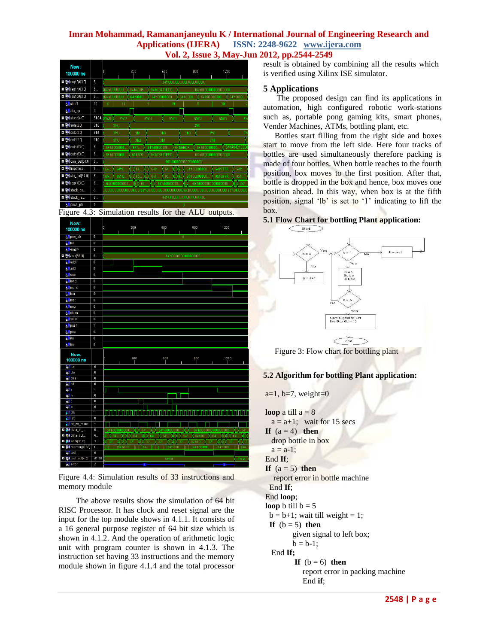| Now:                                     |                 |       |                                                                                  |     |                                      |                  |     |                        |                 |                                                                     |                |      |                 |
|------------------------------------------|-----------------|-------|----------------------------------------------------------------------------------|-----|--------------------------------------|------------------|-----|------------------------|-----------------|---------------------------------------------------------------------|----------------|------|-----------------|
| 100000 ns                                |                 |       |                                                                                  | 300 |                                      |                  | 600 |                        |                 | 900                                                                 |                | 1200 |                 |
| <b>■ 54</b> reg13[63:0]                  | 6               |       |                                                                                  |     |                                      |                  |     | 64'hUUUUUUUUUUUUUUUUU  |                 |                                                                     |                |      |                 |
| <b>74</b> reg14[63:0]<br>Ŧ               | 6               |       | 84hUUUUUU<br>64'h78421EED<br>64'hAD05<br>6410000000000000000                     |     |                                      |                  |     |                        |                 |                                                                     |                |      |                 |
| <b>□ M</b> reg15[63:0]                   | 6               |       | ้64'hUUUUUU<br>64100000000.<br>64'h00000000.<br>64'h0000.<br>6410000<br>64'h0000 |     |                                      |                  |     |                        |                 |                                                                     |                |      |                 |
| <b>M</b> count                           | 30              | n     | 11                                                                               |     |                                      |                  |     | 59                     |                 | 6                                                                   | 30             |      |                 |
| o <mark>ll</mark> alu_op                 | 0               |       |                                                                                  |     |                                      |                  |     |                        |                 |                                                                     |                |      |                 |
| $\blacksquare$ $\blacksquare$ aluop[4:0] | 5 h04           | າປເມັ | 5 <sub>h0F</sub>                                                                 |     |                                      | 5 <sup>h00</sup> |     | 5h01                   |                 | 5/h02                                                               | <b>5'h03</b>   |      | $\overline{5}$  |
| <b>□ ⑦</b> sela[2:0]                     | 3 <sub>h0</sub> |       | 3hU                                                                              |     |                                      |                  |     |                        |                 | 3 <sub>h0</sub>                                                     |                |      |                 |
| $\blacksquare$ $\blacksquare$ selb[2:0]  | 3 <sub>h1</sub> |       | 3hU                                                                              |     | 3 <sup>th</sup> 1<br>3 <sub>h0</sub> |                  |     | 3h0<br>3 <sub>h3</sub> |                 |                                                                     | $\overline{3}$ |      |                 |
| <b>□ W</b> seld[2:0]                     | 3h0             |       | 3hU                                                                              |     | 3 <sub>h2</sub>                      | 3 <sub>h1</sub>  |     |                        | 3 <sub>h0</sub> |                                                                     |                |      |                 |
| <b>□ 54</b> outa[63:0]                   | 6               |       | 64'h0000000.                                                                     |     | 64 <sup>h</sup>                      | 64'h00000000     |     |                        | 64hEEDF         | 64'h00000000                                                        |                |      | 64h78421EED     |
| <b>□ 54</b> outb[63:0]                   | 6               |       | 64'h0000000.                                                                     |     | 64 hAD0                              | 64'h78421EED     |     |                        |                 | 6410000000000000000                                                 |                |      |                 |
| <b>□ 중(</b> daa_out(64:0)                | 6               |       |                                                                                  |     |                                      |                  |     | 65'h00000000000000000  |                 |                                                                     |                |      |                 |
| <b>□ 7</b> tmpstora                      | 6               | 64    | 64 <sup>h0</sup>                                                                 |     | 64                                   | 64h.             |     | 64                     |                 | 64100000000                                                         | 64 hFFFF       |      | 64h.            |
| <b>□ 5 d</b> alu_out[64:0]               | 6               | 65.   | 65 h0                                                                            |     | 65                                   | 65 h             |     | 65.<br>В.              |                 | 65'h00000000.                                                       | 65'h0FFF       |      | 65 <sup>h</sup> |
| <b>□ 春(regc[63:0]</b>                    | 6               |       | 64h000000000                                                                     |     | 64                                   |                  |     | 64100000000            |                 | 6410000000000000000                                                 |                |      | 64'             |
| <b>□ 7</b> stack_po                      | $\{$            |       |                                                                                  |     |                                      |                  |     |                        |                 | JUUUUUUUUUUUUUUUU 84'hUUUUUUUUUUUUUUU 84'hUUUUUUUUUUUUUUU 84'hUUUUU |                |      |                 |
| ■ M stack_re                             | 6               |       |                                                                                  |     |                                      |                  |     | 64 hUUUUUUUUUUUUUUUUU  |                 |                                                                     |                |      |                 |
| <b>&amp;</b> push_ptr                    | $\overline{2}$  |       |                                                                                  |     |                                      |                  |     |                        |                 |                                                                     |                |      |                 |

Figure 4.3: Simulation results for the ALU outputs.



Figure 4.4: Simulation results of 33 instructions and memory module

The above results show the simulation of 64 bit RISC Processor. It has clock and reset signal are the input for the top module shows in 4.1.1. It consists of a 16 general purpose register of 64 bit size which is shown in 4.1.2. And the operation of arithmetic logic unit with program counter is shown in 4.1.3. The instruction set having 33 instructions and the memory module shown in figure 4.1.4 and the total processor

result is obtained by combining all the results which is verified using Xilinx ISE simulator.

### **5 Applications**

The proposed design can find its applications in automation, high configured robotic work-stations such as, portable pong gaming kits, smart phones, Vender Machines, ATMs, bottling plant, etc.

Bottles start filling from the right side and boxes start to move from the left side. Here four tracks of bottles are used simultaneously therefore packing is made of four bottles. When bottle reaches to the fourth position, box moves to the first position. After that, bottle is dropped in the box and hence, box moves one position ahead. In this way, when box is at the fifth position, signal 'lb' is set to '1' indicating to lift the box.

### **5.1 Flow Chart for bottling Plant application:**



Figure 3: Flow chart for bottling plant

# **5.2 Algorithm for bottling Plant application:**

 $a=1$ ,  $b=7$ , weight=0

```
loop a till a = 8a = a+1; wait for 15 secs
If (a = 4) then
  drop bottle in box 
 a = a-1;
End If; 
If (a = 5) then
  report error in bottle machine
  End If;
End loop;
loop b till b = 5b = b+1; wait till weight = 1;
 If (b = 5) then
        given signal to left box; 
        b = b-1;
  End If;
         If (b = 6) then
            report error in packing machine
            End if;
```